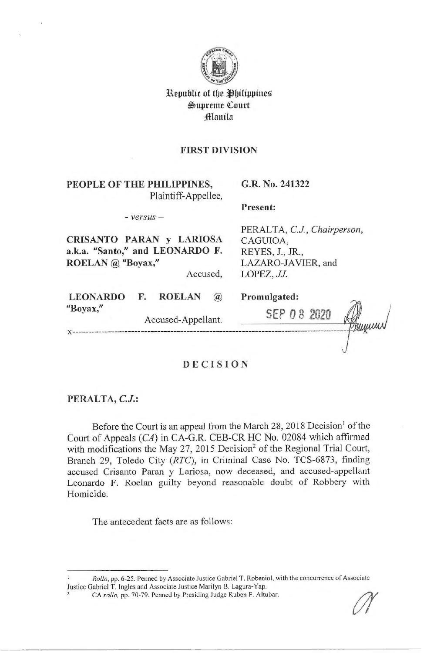

**Republic of the Philippines**  $\mathfrak{S}$ upreme Court **jfl!lanila** 

#### **FIRST DIVISION**

**PEOPLE OF THE PHILIPPINES,**  Plaintiff-Appellee, **G.R. No. 241322** 

- *versus* -

# **CRISANTO PARAN y LARIOSA a.k.a. "Santo," and LEONARDO F. ROELAN @ "Boyax,"**

Accused,

**LEONARDO** "Boyax,"

PERALTA, C.J., Chairperson, CAGUIOA, REYES, J., **JR.,**  LAZARO-IA VIER, and LOPEZ, *JJ.* 

|                    | <b>ROELAN</b> | $\omega$ | Promulgated: |  |  |
|--------------------|---------------|----------|--------------|--|--|
| Accused-Appellant. |               | SEPDB    | wellen       |  |  |
|                    |               |          |              |  |  |

**Present:** 

# **DECISION**

# **PERALTA, CJ.:**

**x** ----------------------

Before the Court is an appeal from the March 28, 2018 Decision<sup>1</sup> of the Court of Appeals (CA) in CA-G.R. CEB-CR HC No. 02084 which affirmed with modifications the May 27, 2015 Decision<sup>2</sup> of the Regional Trial Court, Branch 29, Toledo City (RTC), in Criminal Case No. TCS-6873, finding accused Crisanto Paran y Lariosa, now deceased, and accused-appellant Leonardo F. Roelan guilty beyond reasonable doubt of Robbery with Homicide.

The antecedent facts are as follows:

*Rollo,* pp. 6-25. Penned by Associate Justice Gabriel T. Robeniol, with the concurrence of Associate Justice Gabriel T. Ingles and Associate Justice Marilyn B. Lagura-Yap. 2 CA *rollo,* pp. 70-79. Penned by Presiding Judge Ruben F. Altubar.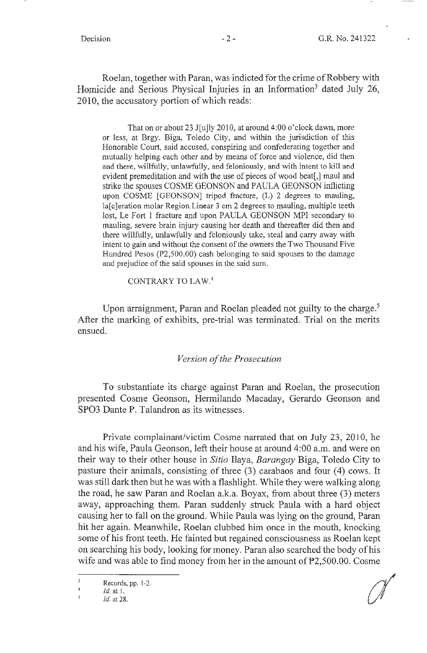Roelan, together with Paran, was indicted for the crime of Robbery with Homicide and Serious Physical Injuries in an Information<sup>3</sup> dated July 26, 2010, the accusatory portion of which reads:

That on or about 23 J[u]ly 2010, at around 4:00 o'clock dawn, more or less, at Brgy. Biga, Toledo City, and within the jurisdiction of this Honorable Court, said accused, conspiring and confederating together and mutually helping each other and by means of force and violence, did then and there, willfully, unlawfully, and feloniously, and with intent to kill and evident premeditation and with the use of pieces of wood beat[,] maul and strike the spouses COSME GEONSON and PAULA GEONSON inflicting upon COSME [GEONSON] tripod fracture, (L) 2 degrees to mauling, la[c]eration molar Region Linear 3 cm 2 degrees to mauling, multiple teeth lost, Le Fort 1 fracture and upon PAULA GEONSON MPI secondary to mauling, severe brain injury causing her death and thereafter did then and there willfully, unlawfully and feloniously take, steal and carry away with intent to gain and without the consent of the owners the Two Thousand Five Hundred Pesos (P2,500.00) cash belonging to said spouses to the damage and prejudice of the said spouses in the said sum.

CONTRARY TO LAW.<sup>4</sup>

Upon arraignment, Paran and Roelan pleaded not guilty to the charge.<sup>5</sup> After the marking of exhibits, pre-trial was terminated. Trial on the merits ensued.

#### *Version of the Prosecution*

To substantiate its charge against Paran and Roelan, the prosecution presented Cosme Geonson, Hermilando Macaday, Gerardo Geonson and SPO3 Dante P. Talandron as its witnesses.

Private complainant/victim Cosme narrated that on July 23, 2010, he and his wife, Paula Geonson, left their house at around 4:00 a.m. and were on their way to their other house in *Sitio* Ilaya, *Barangay* Biga, Toledo City to pasture their animals, consisting of three  $(3)$  carabaos and four  $(4)$  cows. It was still dark then but he was with a flashlight. While they were walking along the road, he saw Paran and Roelan a.k.a. Boyax, from about three (3) meters away, approaching them. Paran suddenly struck Paula with a hard object causing her to fall on the ground. While Paula was lying on the ground, Paran hit her again. Meanwhile, Roelan clubbed him once in the mouth, knocking some of his front teeth. He fainted but regained consciousness as Roelan kept on searching his body, looking for money. Paran also searched the body of his wife and was able to find money from her in the amount of P2,500.00. Cosme

Records, pp. 1-2.<br>Id. at 1.<br>Id. at 28.

 $\overline{3}$ Records, pp. 1-2.  $\overline{4}$ 

Id. at 1.  $\overline{5}$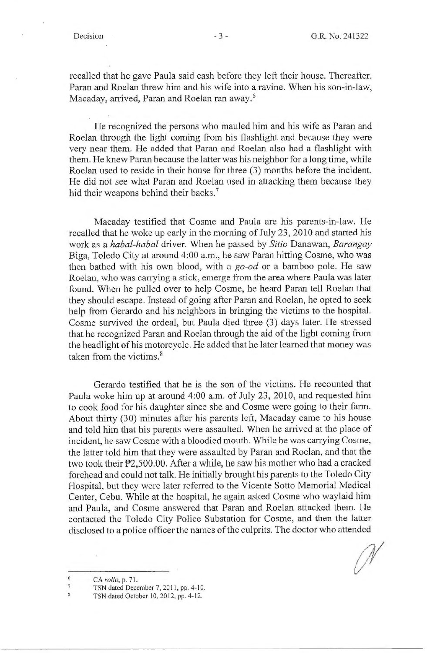recalled that he gave Paula said cash before they left their house. Thereafter, Paran and Roelan threw him and his wife into a ravine. When his son-in-law, Macaday, arrived, Paran and Roelan ran away. <sup>6</sup>

He recognized the persons who mauled him and his wife as Paran and Roelan through the light coming from his flashlight and because they were very near them. He added that Paran and Roelan also had a flashlight with them. He knew Paran because the latter was his neighbor for a long time, while Roelan used to reside in their house for three (3) months before the incident. He did not see what Paran and Roelan used in attacking them because they hid their weapons behind their backs.<sup>7</sup>

Macaday testified that Cosme and Paula are his parents-in-law. He recalled that he woke up early in the morning of July 23, 2010 and started his work as a *habal-habal* driver. When he passed by *Sitio* Danawan, *Barangay*  Biga, Toledo City at around 4:00 a.m., he saw Paran hitting Cosme, who was then bathed with his own blood, with a *go-od* or a bamboo pole. He saw Roelan, who was carrying a stick, emerge from the area where Paula was later found. When he pulled over to help Cosme, he heard Paran tell Roelan that they should escape. Instead of going after Paran and Roelan, he opted to seek help from Gerardo and his neighbors in bringing the victims to the hospital. Cosme survived the ordeal, but Paula died three (3) days later. He stressed that he recognized Paran and Roelan through the aid of the light coming from the headlight of his motorcycle. He added that he later learned that money was taken from the victims. 8

Gerardo testified that he is the son of the victims. He recounted that Paula woke him up at around 4:00 a.m. of July 23, 2010, and requested him to cook food for his daughter since she and Cosme were going to their farm. About thirty (30) minutes after his parents left, Macaday came to his house and told him that his parents were assaulted. When he arrived at the place of incident, he saw Cosme with a bloodied mouth. While he was carrying Cosme, the latter told him that they were assaulted by Paran and Roelan, and that the two took their P2,500.00. After a while, he saw his mother who had a cracked forehead and could not talk. He initially brought his parents to the Toledo City Hospital, but they were later referred to the Vicente Sotto Memorial Medical Center, Cebu. While at the hospital, he again asked Cosme who waylaid him and Paula, and Cosme answered that Paran and Roelan attacked them. He contacted the Toledo City Police Substation for Cosme, and then the latter disclosed to a police officer the names of the culprits. The doctor who attended

<sup>6</sup> CA *rollo,* p. 71.

TSN dated December 7, 2011, pp. 4-10.

TSN dated October 10, 2012, pp. 4-12.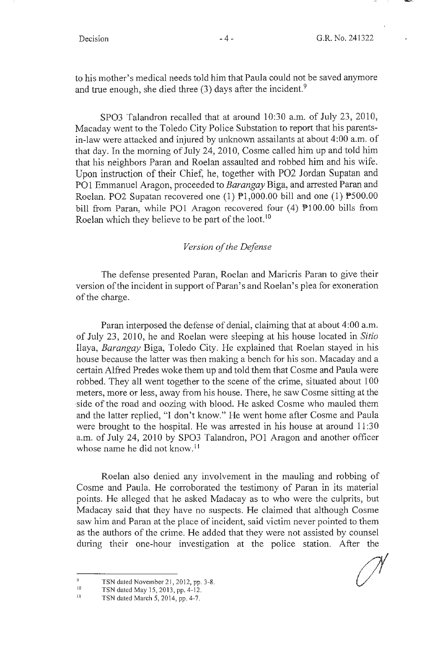to his mother's medical needs told him that Paula could not be saved anymore and true enough, she died three  $(3)$  days after the incident.<sup>9</sup>

SPO3 Talandron recalled that at around 10:30 a.m. of July 23, 2010, Macaday went to the Toledo City Police Substation to report that his parentsin-law were attacked and injured by unknown assailants at about 4:00 a.m. of that day. In the morning of July 24, 2010, Cosme called him up and told him that his neighbors Paran and Roelan assaulted and robbed him and his wife. Upon instruction of their Chief, he, together with P02 Jordan Supatan and PO1 Emmanuel Aragon, proceeded to *Barangay* Biga, and arrested Paran and Roelan. PO2 Supatan recovered one  $(1)$   $\overline{P}1,000.00$  bill and one  $(1)$   $\overline{P}500.00$ bill from Paran, while PO1 Aragon recovered four (4) P100.00 bills from Roelan which they believe to be part of the loot.<sup>10</sup>

# *Version of the Defense*

The defense presented Paran, Roelan and Maricris Paran to give their version of the incident in support of Paran's and Roelan's plea for exoneration of the charge.

Paran interposed the defense of denial, claiming that at about 4:00 a.m. of July 23, 2010, he and Roelan were sleeping at his house located in *Sitio*  Ilaya, *Barangay* Biga, Toledo City. He explained that Roelan stayed in his house because the latter was then making a bench for his son. Macaday and a certain Alfred Predes woke them up and told them that Cosme and Paula were robbed. They all went together to the scene of the crime, situated about 100 meters, more or less, away from his house. There, he saw Cosme sitting at the ·side of the road and oozing with blood. He asked Cosme who mauled them and the latter replied, "I don't know." He went home after Cosme and Paula were brought to the hospital. He was arrested in his house at around  $11:30$ a.m. of July 24, 2010 by SPO3 Talandron, POl Aragon and another officer whose name he did not know.<sup>11</sup>

Roelan also denied any involvement in the mauling and robbing of Cosme and Paula. He corroborated the testimony of Paran in its material points. He alleged that he asked Madacay as to who were the culprits, but Madacay said that they have no suspects. He claimed that although Cosme saw him and Paran at the place of incident, said victim never pointed to them as the authors of the crime. He added that they were not assisted by counsel during their one-hour investigation at the police station. After the

<sup>9</sup>  TSN dated November 21, 2012, pp. 3-8.

<sup>10</sup>  TSN dated May 15, 2013, pp. 4- 12.

 $11$ TSN dated March 5, 2014, pp. 4-7.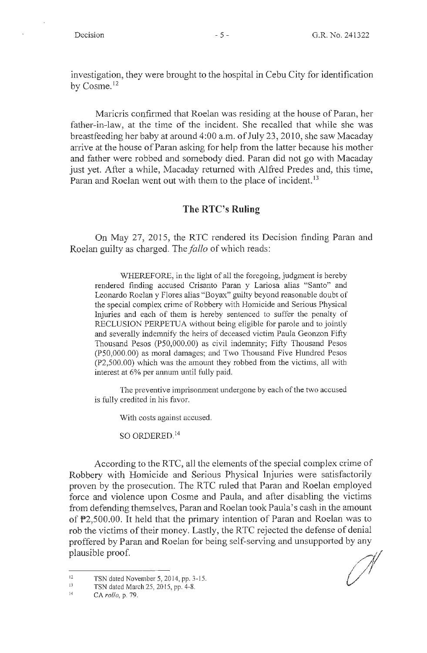$\mathcal{L}$ 

investigation, they were brought to the hospital in Cebu City for identification by Cosme.<sup>12</sup>

Maricris confirmed that Roelan was residing at the house of Paran, her father-in-law, at the time of the incident. She recalled that while she was breastfeeding her baby at around 4:00 a.m. of July 23, 2010, she saw Macaday arrive at the house of Paran asking for help from the latter because his mother and father were robbed and somebody died. Paran did not go with Macaday just yet. After a while, Macaday returned with Alfred Predes and, this time, Paran and Roelan went out with them to the place of incident.<sup>13</sup>

# **The RTC's Ruling**

On May 27, 2015, the RTC rendered its Decision finding Paran and Roelan guilty as charged. The *fallo* of which reads:

WHEREFORE, in the light of all the foregoing, judgment is hereby rendered finding accused Crisanto Paran y Lariosa alias "Santo" and Leonardo Roelan y Flores alias "Boyax" guilty beyond reasonable doubt of the special complex crime of Robbery with Homicide and Serious Physical Injuries and each of them is hereby sentenced to suffer the penalty of RECLUSION PERPETUA without being eligible for parole and to jointly and severally indemnify the heirs of deceased victim Paula Geonzon Fifty Thousand Pesos (PS0,000.00) as civil indemnity; Fifty Thousand Pesos (PS0,000.00) as moral damages; and Two Thousand Five Hundred Pesos (P2,500.00) which was the amount they robbed from the victims, all with interest at 6% per annum until fully paid.

The preventive imprisomnent undergone by each of the two accused is fully credited in his favor.

With costs against accused.

SO ORDERED.<sup>14</sup>

According to the RTC, all the elements of the special complex crime of Robbery with Homicide and Serious Physical Injuries were satisfactorily proven by the prosecution. The R TC ruled that Paran and Roelan employed force and violence upon Cosme and Paula, and after disabling the victims from defending themselves, Paran and Roelan took Paula's cash in the amount of P2,500.00. It held that the primary intention of Paran and Roelan was to rob the victims of their money. Lastly, the RTC rejected the defense of denial proffered by Paran and Roelan for being self-serving and unsupported by any plausible proof.

<sup>12</sup>  TSN dated November 5, 20 14, pp. 3- 15.

<sup>13</sup>  TSN dated March 25, 20 15, pp. 4-8.

<sup>14</sup>  CA *rollo,* p. 79.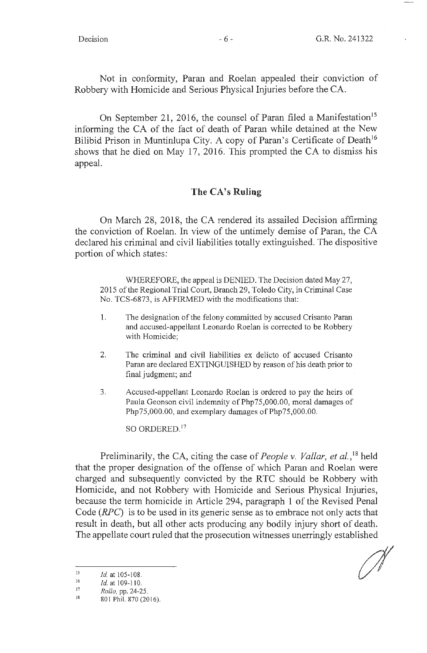Not in conformity, Paran and Roelan appealed their conviction of Robbery with Homicide and Serious Physical Injuries before the CA.

On September 21, 2016, the counsel of Paran filed a Manifestation<sup>15</sup> informing the CA of the fact of death of Paran while detained at the New Bilibid Prison in Muntinlupa City. A copy of Paran's Certificate of Death<sup>16</sup> shows that he died on May 17, 2016. This prompted the CA to dismiss his appeal.

# **The CA's Ruling**

On March 28, 2018, the CA rendered its assailed Decision affirming the conviction of Roelan. In view of the untimely demise of Paran, the CA declared his criminal and civil liabilities totally extinguished. The dispositive portion of which states:

WHEREFORE, the appeal is DENIED. The Decision dated May 27, 2015 of the Regional Trial Court, Branch 29, Toledo City, in Criminal Case No. TCS-6873, is AFFIRMED with the modifications that:

- 1. The designation of the felony committed by accused Crisanto Paran and accused-appellant Leonardo Roelan is corrected to be Robbery with Homicide;
- 2. The criminal and civil liabilities ex delicto of accused Crisanto Paran are declared EXTINGUISHED by reason of his death prior to final judgment; and
- 3. Accused-appellant Leonardo Roelan is ordered to pay the heirs of Paula Geonson civil indemnity of Php75,000.00, moral damages of Php75,000.00, and exemplary damages of Php75,000.00.

SO ORDERED.<sup>17</sup>

Preliminarily, the CA, citing the case of *People v. Vallar, et al.,* 18 held that the proper designation of the offense of which Paran and Roelan were charged and subsequently convicted by the RTC should be Robbery with Homicide, and not Robbery with Homicide and Serious Physical Injuries, because the term homicide in Article 294, paragraph 1 of the Revised Penal Code (RPC) is to be used in its generic sense as to embrace not only acts that result in death, but all other acts producing any bodily injury short of death. The appellate court ruled that the prosecution witnesses unerringly established

<sup>15</sup>  *Id.* at 105-108.

<sup>16</sup>  Id. at 109-110.

<sup>17</sup>  *Rollo,* pp. 24-25.

<sup>18</sup>  801 Phil. 870 (2016).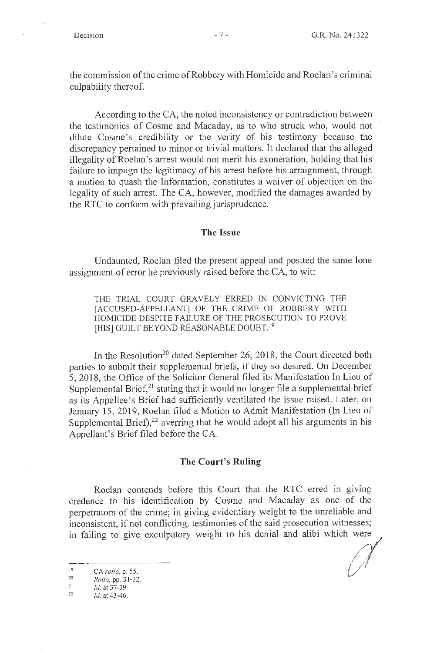the commission of the crime of Robbery with Homicide and Roelan's criminal culpability thereof.

According to the CA, the noted inconsistency or contradiction between the testimonies of Cosme and Macaday, as to who struck who, would not dilute Cosme's credibility or the verity of his testimony because the discrepancy pertained to minor or trivial matters. It declared that the alleged illegality of Roelan's arrest would not merit his exoneration, holding that his failure to impugn the legitimacy of his arrest before his arraignment, through a motion to quash the Information, constitutes a waiver of objection on the legality of such arrest. The CA, however, modified the damages awarded by the RTC to conform with prevailing jurisprudence.

#### **The Issue**

Undaunted, Roelan filed the present appeal and posited the same lone assignment of error he previously raised before the CA, to wit:

THE TRIAL COURT GRAVELY ERRED IN CONVICTING THE [ACCUSED-APPELLANT] OF THE CRIME OF ROBBERY WITH HOMICIDE DESPITE FAILURE OF THE PROSECUTION TO PROVE [HIS] GUILT BEYOND REASONABLE DOUBT.<sup>19</sup>

In the Resolution<sup>20</sup> dated September 26, 2018, the Court directed both parties to submit their supplemental briefs, if they so desired. On December 5, 2018, the Office of the Solicitor General filed its Manifestation In Lieu of Supplemental Brief, $^{21}$  stating that it would no longer file a supplemental brief as its Appellee's Brief had sufficiently ventilated the issue raised. Later, on January 15, 2019, Roelan filed a Motion to Admit Manifestation (In Lieu of Supplemental Brief), $22$  averring that he would adopt all his arguments in his Appellant's Brief filed before the CA.

#### **The Court's Ruling**

Roelan contends before this Court that the RTC erred in giving credence to his identification by Cosme and Macaday as one of the perpetrators of the crime; in giving evidentiary weight to the unreliable and inconsistent, if not conflicting, testimonies of the said prosecution witnesses; in failing to give exculpatory weight to his denial and alibi which

 $\overline{19}$ ollo, p. 5 20

*Rollo,* pp. 31-32.

 $1d. at 37-39.$ 

<sup>22</sup> *Id.* at 43-46.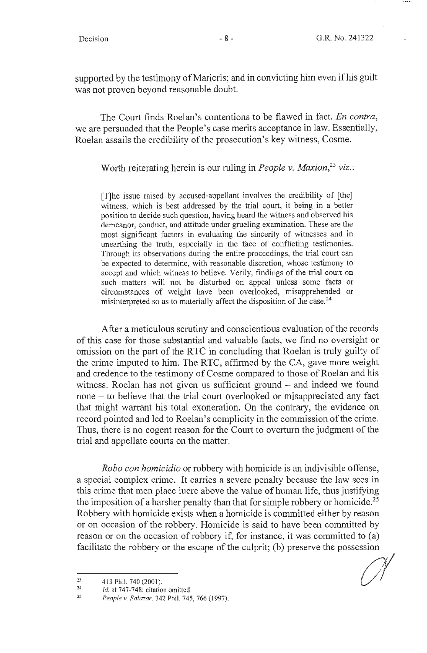supported by the testimony of Maricris; and in convicting him even if his guilt was not proven beyond reasonable doubt.

The Court finds Roelan's contentions to be flawed in fact. *En contra*, we are persuaded that the People's case merits acceptance in law. Essentially, Roelan assails the credibility of the prosecution's key witness, Cosme.

#### Worth reiterating herein is our ruling in *People v. Maxion,23 viz.:*

[T]he issue raised by accused-appellant involves the credibility of [the] witness, which is best addressed by the trial court, it being in a better position to decide such question, having heard the witness and observed his demeanor, conduct, and attitude under grueling examination. These are the most significant factors in evaluating the sincerity of witnesses and in unearthing the truth, especially in the face of conflicting testimonies. Through its observations during the entire proceedings, the trial court can be expected to determine, with reasonable discretion, whose testimony to accept and which witness to believe. Verily, findings of the trial court on such matters will not be disturbed on appeal unless some facts or circumstances of weight have been overlooked, misapprehended or misinterpreted so as to materially affect the disposition of the case.<sup>24</sup>

After a meticulous scrutiny and conscientious evaluation of the records of this case for those substantial and valuable facts, we find no oversight or omission on the part of the RTC in concluding that Roelan is truly guilty of the crime imputed to him. The RTC, affirmed by the CA, gave more weight and credence to the testimony of Cosme compared to those of Roelan and his witness. Roelan has not given us sufficient ground  $-$  and indeed we found none - to believe that the trial court overlooked or misappreciated any fact that might warrant his total exoneration. On the contrary, the evidence on record pointed and led to Roelan's complicity in the commission of the crime. Thus, there is no cogent reason for the Court to overturn the judgment of the trial and appellate courts on the matter.

*Robo con homicidio* or robbery with homicide is an indivisible offense, a special complex crime. It carries a severe penalty because the law sees in this crime that men place lucre above the value of human life, thus justifying the imposition of a harsher penalty than that for simple robbery or homicide.<sup>25</sup> Robbery with homicide exists when a homicide is committed either by reason or on occasion of the robbery. Homicide is said to have been committed by reason or on the occasion of robbery if, for instance, it was committed to (a) facilitate the robbery or the escape of the culprit; (b) preserve the possession  $\frac{1}{23}$  413 Phil. 740 (2001).

<sup>4</sup> 13 Phil. 740 (2001).

<sup>24</sup>  *Id.* at 747-748; citation omitted

<sup>25</sup>*People v. Salazar,* 342 Phil. 745, 766 (1997).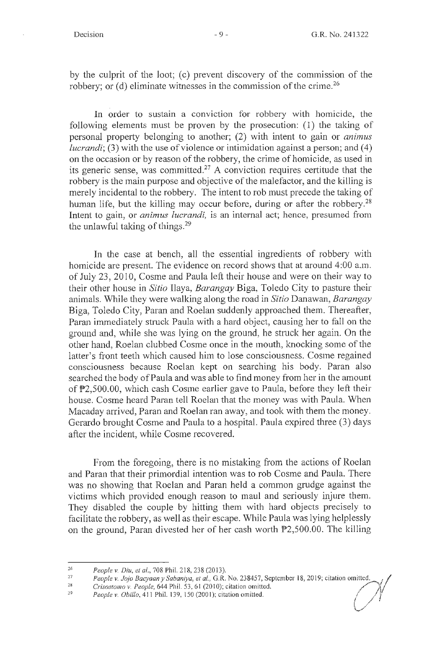by the culprit of the loot; ( c) prevent discovery of the commission of the robbery; or (d) eliminate witnesses in the commission of the crime.<sup>26</sup>

In order to sustain a conviction for robbery with homicide, the following elements must be proven by the prosecution: ( 1) the taking of personal property belonging to another; (2) with intent to gain or *animus lucrandi;* (3) with the use of violence or intimidation against a person; and (4) on the occasion or by reason of the robbery, the crime of homicide, as used in its generic sense, was committed.27 A conviction requires certitude that the robbery is the main purpose and objective of the malefactor, and the killing is merely incidental to the robbery. The intent to rob must precede the taking of human life, but the killing may occur before, during or after the robbery.<sup>28</sup> Intent to gain, or *animus lucrandi,* is an internal act; hence, presumed from the unlawful taking of things.<sup>29</sup>

In the case at bench, all the essential ingredients of robbery with homicide are present. The evidence on record shows that at around 4:00 a.m. of July 23, 2010, Cosme and Paula left their house and were on their way to their other house in *Sitio* Ilaya, *Barangay* Biga, Toledo City to pasture their animals. While they were walking along the road in *Sitio* Danawan, *Barangay*  Biga, Toledo City, Paran and Roelan suddenly approached them. Thereafter, Paran immediately struck Paula with a hard object, causing her to fall on the ground and, while she was lying on the ground, he struck her again. On the other hand, Roelan clubbed Cosme once in the mouth, lmocking some of the latter's front teeth which caused him to lose consciousness. Cosme regained consciousness because Roelan kept on searching his body. Paran also searched the body of Paula and was able to find money from her in the amount of P2,500.00, which cash Cosme earlier gave to Paula, before they left their house. Cosme heard Paran tell Roelan that the money was with Paula. When Macaday arrived, Paran and Roelan ran away, and took with them the money. Gerardo brought Cosme and Paula to a hospital. Paula expired three (3) days after the incident, while Cosme recovered.

From the foregoing, there is no mistaking from the actions of Roelan and Paran that their primordial intention was to rob Cosme and Paula. There was no showing that Roelan and Paran held a common grudge against the victims which provided enough reason to maul and seriously injure them. They disabled the couple by hitting them with hard objects precisely to facilitate the robbery, as well as their escape. While Paula was lying helplessly on the ground, Paran divested her of her cash worth P2,500.00. The killing

<sup>26</sup>  *People v. Diu, et al.,* 708 Phil. 218, 238(2013).

<sup>27</sup>  People v. Jojo Bacyaan y Sabaniya, et al., G.R. No. 238457, September 18, 2019; citation omitted.

<sup>28</sup>  *Crisostomo v. People,* 644 Phil. 53, 61 (2010); citation omitted.

<sup>29</sup>  *People v. Obi/lo,* 411 Phil. 139, 150 (200 I); citation omitted.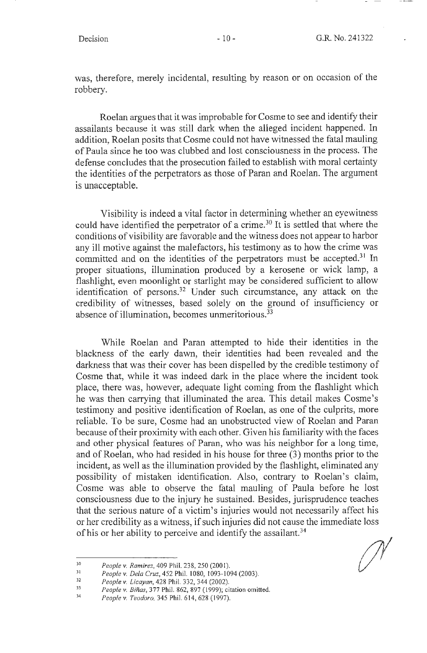was, therefore, merely incidental, resulting by reason or on occasion of the robbery.

Roelan argues that it was improbable for Cosme to see and identify their assailants because it was still dark when the alleged incident happened. In addition, Roelan posits that Cosme could not have witnessed the fatal mauling of Paula since he too was clubbed and lost consciousness in the process. The defense concludes that the prosecution failed to establish with moral certainty the identities of the perpetrators as those of Paran and Roelan. The argument is unacceptable.

Visibility is indeed a vital factor in determining whether an eyewitness could have identified the perpetrator of a crime.<sup>30</sup> It is settled that where the conditions of visibility are favorable and the witness does not appear to harbor any ill motive against the malefactors, his testimony as to how the crime was committed and on the identities of the perpetrators must be accepted.<sup>31</sup> In proper situations, illumination produced by a kerosene or wick lamp, a flashlight, even moonlight or starlight may be considered sufficient to allow identification of persons.32 Under such circumstance, any attack on the credibility of witnesses, based solely on the ground of insufficiency or absence of illumination, becomes unmeritorious.<sup>33</sup>

While Roelan and Paran attempted to hide their identities in the blackness of the early dawn, their identities had been revealed and the darkness that was their cover has been dispelled by the credible testimony of Cosme that, while it was indeed dark in the place where the incident took place, there was, however, adequate light coming from the flashlight which he was then carrying that illuminated the area. This detail makes Cosme's testimony and positive identification of Roelan, as one of the culprits, more reliable. To be sure, Cosme had an unobstructed view of Roelan and Paran because of their proximity with each other. Given his familiarity with the faces and other physical features of Paran, who was his neighbor for a long time, and of Roelan, who had resided in his house for three (3) months prior to the incident, as well as the illumination provided by the flashlight, eliminated any possibility of mistaken identification. Also, contrary to Roelan's claim, Cosme was able to observe the fatal mauling of Paula before he lost consciousness due to the injury he sustained. Besides, jurisprudence teaches that the serious nature of a victim's injuries would not necessarily affect his or her credibility as a witness, if such injuries did not cause the immediate loss of his or her ability to perceive and identify the assailant.<sup>34</sup>

31 32 *People* v. *Dela Cruz,* 452 Phil. I 080, I 093-1094 (2003).

33 *People v. Biñas*, 377 Phil. 862, 897 (1999); citation omitted.

<sup>30</sup>  *People v. Ramirez,* 409 Phil. 238,250 (2001).

*People* v. *Licayan,* 428 Phil. 332, 344 (2002).

<sup>34</sup>  *People* v. *Teodoro,* 345 Phil. 614, 628 (1997).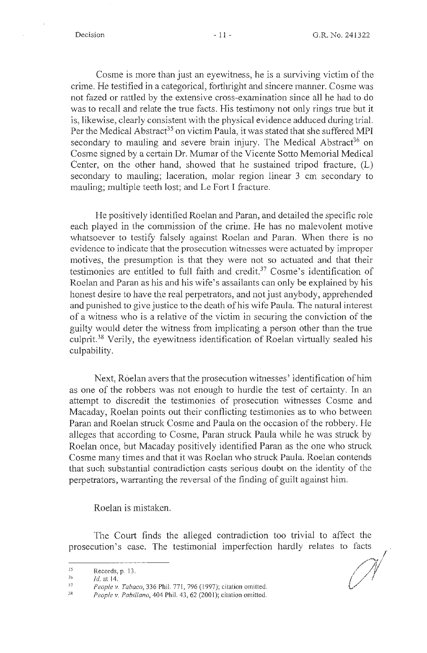Cosme is more than just an eyewitness, he is a surviving victim of the crime. He testified in a categorical, forthright and sincere manner. Cosme was not fazed or rattled by the extensive cross-examination since all he had to do was to recall and relate the true facts. His testimony not only rings true but it is, likewise, clearly consistent with the physical evidence adduced during trial. Per the Medical Abstract<sup>35</sup> on victim Paula, it was stated that she suffered MPI secondary to mauling and severe brain injury. The Medical Abstract<sup>36</sup> on Cosme signed by a certain Dr. Mumar of the Vicente Sotto Memorial Medical Center, on the other hand, showed that he sustained tripod fracture, (L) secondary to mauling; laceration, molar region linear 3 cm secondary to mauling; multiple teeth lost; and Le Fort I fracture.

He positively identified Roelan and Paran, and detailed the specific role each played in the commission of the crime. He has no malevolent motive whatsoever to testify falsely against Roelan and Paran. When there is no evidence to indicate that the prosecution witnesses were actuated by improper motives, the presumption is that they were not so actuated and that their testimonies are entitled to full faith and credit.<sup>37</sup> Cosme's identification of Roelan and Paran as his and his wife's assailants can only be explained by his honest desire to have the real perpetrators, and not just anybody, apprehended and punished to give justice to the death of his wife Paula. The natural interest of a witness who is a relative of the victim in securing the conviction of the guilty would deter the witness from implicating a person other than the true culprit.<sup>38</sup> Verily, the eyewitness identification of Roelan virtually sealed his culpability.

Next, Roelan avers that the prosecution witnesses' identification of him as one of the robbers was not enough to hurdle the test of certainty. In an attempt to discredit the testimonies of prosecution witnesses Cosme and Macaday, Roelan points out their conflicting testimonies as to who between Paran and Roelan struck Cosme and Paula on the occasion of the robbery. He alleges that according to Cosme, Paran struck Paula while he was struck by Roelan once, but Macaday positively identified Paran as the one who struck Cosme many times and that it was Roelan who struck Paula. Roelan contends that such substantial contradiction casts serious doubt on the identity of the perpetrators, warranting the reversal of the finding of guilt against him.

Roelan is mistaken.

The Court finds the alleged contradiction too trivial to affect the prosecution's case. The testimonial imperfection hardly relates to facts<br>
Records, p. 13.<br> *Id.* at 14.<br> *People v. Tabaco.* 336 Phil. 771. 796 (1997): citation omitted.

Records, p. 13.

<sup>36</sup>  *Id.* at 14.

<sup>37</sup>  People v. Tabaco, 336 Phil. 771, 796 (1997); citation omitted.

<sup>38</sup>  *People v. Pabillano,* 404 Phil. 43, 62 (200 I); citation omitted.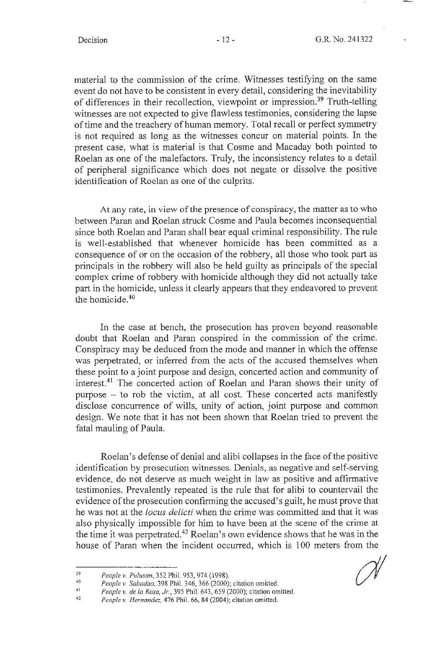material to the commission of the crime. Witnesses testifying on the same event do not have to be consistent in every detail, considering the inevitability of differences in their recollection, viewpoint or impression.<sup>39</sup> Truth-telling witnesses are not expected to give flawless testimonies, considering the lapse of time and the treachery of human memory. Total recall or perfect symmetry is not required as long as the witnesses concur on material points. In the present case, what is material is that Cosme and Macaday both pointed to Roelan as one of the malefactors. Truly, the inconsistency relates to a detail of peripheral significance which does not negate or dissolve the positive identification of Roelan as one of the culprits.

At any rate, in view of the presence of conspiracy, the matter as to who between Paran and Roelan struck Cosme and Paula becomes inconsequential since both Roelan and Paran shall bear equal criminal responsibility. The rule is well-established that whenever homicide has been committed as a consequence of or on the occasion of the robbery, all those who took part as principals in the robbery will also be held guilty as principals of the special complex crime of robbery with homicide although they did not actually take part in the homicide, unless it clearly appears that they endeavored to prevent the homicide.40

In the case at bench, the prosecution has proven beyond reasonable doubt that Roelan and Paran conspired in the commission of the crime. Conspiracy may be deduced from the mode and manner in which the offense was perpetrated, or inferred from the acts of the accused themselves when these point to a joint purpose and design, concerted action and community of interest.<sup>41</sup> The concerted action of Roelan and Paran shows their unity of purpose - to rob the victim, at all cost. These concerted acts manifestly disclose concurrence of wills, unity of action, joint purpose and common design. We note that it has not been shown that Roelan tried to prevent the fatal mauling of Paula.

Roelan's defense of denial and alibi collapses in the face of the positive identification by prosecution witnesses. Denials, as negative and self-serving evidence, do not deserve as much weight in law as positive and affirmative testimonies. Prevalently repeated is the rule that for alibi to countervail the evidence of the prosecution confirming the accused's guilt, he must prove that he was not at the *locus delicti* when the crime was committed and that it was also physically impossible for him to have been at the scene of the crime at the time it was perpetrated.42 Roelan's own evidence shows that he was in the house of Paran when the incident occurred, which is 100 meters from the

<sup>39</sup>  *People* v. *Pulusan,* 352 Phil. 953, 974 (1998).

<sup>40</sup>  *People v. Sabadao,* 398 Phil. 346, 366 (2000); citation omitted.

<sup>41</sup>  *People v. de la Rosa, Jr.,* 395 Phil. 643, 659 (2000); citation omitted.

<sup>42</sup>  *People v. Hernandez,* 476 Phil. 66, 84 (2004); citation omitted.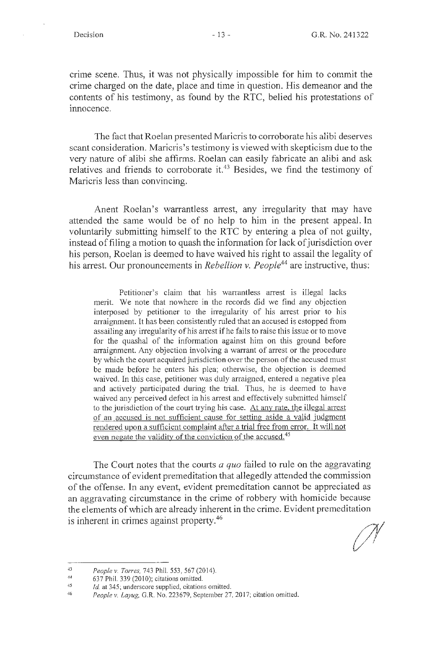crime scene. Thus, it was not physically impossible for him to commit the crime charged on the date, place and time in question. His demeanor and the contents of his testimony, as found by the RTC, belied his protestations of innocence.

The fact that Roelan presented Maricris to corroborate his alibi deserves scant consideration. Maricris's testimony is viewed with skepticism due to the very nature of alibi she affirms. Roelan can easily fabricate an alibi and ask relatives and friends to corroborate it.<sup>43</sup> Besides, we find the testimony of Maricris less than convincing.

Anent Roelan's warrantless arrest, any irregularity that may have attended the same would be of no help to him in the present appeal. In voluntarily submitting himself to the RTC by entering a plea of not guilty, instead of filing a motion to quash the infonnation for lack of jurisdiction over his person, Roelan is deemed to have waived his right to assail the legality of his arrest. Our pronouncements in *Rebellion v. People44* are instructive, thus:

Petitioner's claim that his warrantless arrest is illegal lacks merit. We note that nowhere in the records did we find any objection interposed by petitioner to the irregularity of his arrest prior to his arraignment. It has been consistently ruled that an accused is estopped from assailing any irregularity of his arrest if he fails to raise this issue or to move for the quashal of the information against him on this ground before arraignment. Any objection involving a warrant of arrest or the procedure by which the court acquired jurisdiction over the person of the accused must be made before he enters his plea; otherwise, the objection is deemed waived. In this case, petitioner was duly arraigned, entered a negative plea and actively participated during the trial. Thus, he is deemed to have waived any perceived defect in his arrest and effectively submitted himself to the jurisdiction of the court trying his case. At any rate, the illegal arrest of an accused is not sufficient cause for setting aside a valid judgment rendered upon a sufficient complaint after a trial free from error. It will not even negate the validity of the conviction of the accused.<sup>45</sup>

The Court notes that the courts *a quo* failed to rule on the aggravating circumstance of evident premeditation that allegedly attended the commission of the offense. In any event, evident premeditation cannot be appreciated as an aggravating circumstance in the crime of robbery with homicide because the elements of which are already inherent in the crime. Evident premeditation is inherent in crimes against property.<sup>46</sup>

<sup>43</sup>  *People v. Torres,* 743 Phil. 553, 567(2014).

<sup>,14</sup>  637 Phil. 339 (2010); citations omitted.

*<sup>45</sup>  1d.* at 345; underscore supplied, citations omitted.

<sup>46</sup>  People v. Layug, G.R. No. 223679, September 27, 2017; citation omitted.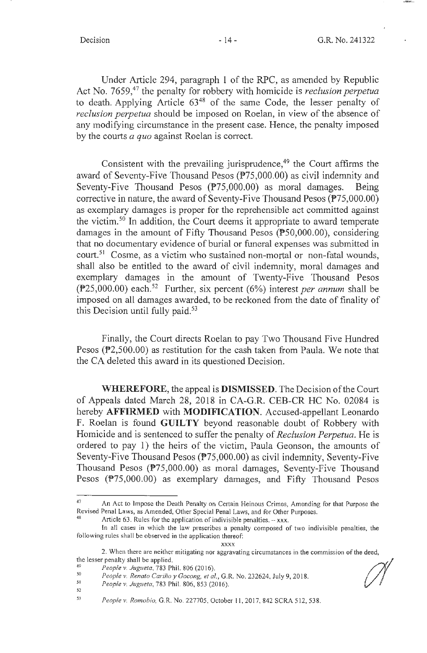Under Article 294, paragraph 1 of the RPC, as amended by Republic Act No. 7659,47 the penalty for robbery with homicide is *reclusion perpetua*  to death. Applying Article 63<sup>48</sup> of the same Code, the lesser penalty of *reclusion perpetua* should be imposed on Roelan, in view of the absence of any modifying circumstance in the present case. Hence, the penalty imposed by the courts *a quo* against Roelan is correct.

Consistent with the prevailing jurisprudence, $49$  the Court affirms the award of Seventy-Five Thousand Pesos (P75,000.00) as civil indemnity and Seventy-Five Thousand Pesos (P75,000.00) as moral damages. Being corrective in nature, the award of Seventy-Five Thousand Pesos (P75,000.00) as exemplary damages is proper for the reprehensible act committed against the victim. 50 In addition, the Court deems it appropriate to award temperate damages in the amount of Fifty Thousand Pesos (PS0,000.00), considering that no documentary evidence of burial or funeral expenses was submitted in court.<sup>51</sup> Cosme, as a victim who sustained non-mortal or non-fatal wounds, shall also be entitled to the award of civil indemnity, moral damages and exemplary damages in the amount of Twenty-Five Thousand Pesos (P25,000.00) each. 52 Further, six percent (6%) interest *per annum* shall be imposed on all damages awarded, to be reckoned from the date of finality of this Decision until fully paid.<sup>53</sup>

Finally, the Court directs Roelan to pay Two Thousand Five Hundred Pesos (P2,500.00) as restitution for the cash taken from Paula. We note that the CA deleted this award in its questioned Decision.

**WHEREFORE,** the appeal is **DISMISSED.** The Decision of the Court of Appeals dated March 28, 2018 in CA-G.R. CEB-CR HC No. 02084 is hereby **AFFIRMED** with **MODIFICATION.** Accused-appellant Leonardo F. Roelan is found **GUILTY** beyond reasonable doubt of Robbery with Homicide and is sentenced to suffer the penalty of *Reclusion Perpetua.* He is ordered to pay 1) the heirs of the victim, Paula Geonson, the amounts of Seventy-Five Thousand Pesos (P75,000.00) as civil indemnity, Seventy-Five Thousand Pesos (P75,000.00) as moral damages, Seventy-Five Thousand Pesos (P75,000.00) as exemplary damages, and Fifty Thousand Pesos

<sup>47</sup> An Act to Impose the Death Penalty on Certain Heinous Crimes, Amending for that Purpose the Revised Penal Laws, as Amended, Other Special Penal Laws, and for Other Purposes.<br><sup>48</sup> Article 63. Rules for the application of indivisible penalties. - xxx.

In all cases in which the law prescribes a penalty composed of two indivisible penalties, the following rules shall be observed in the application thereof: xxxx

<sup>2.</sup> When there are neither mitigating nor aggravating circumstances in the commission of the deed, the lesser penalty shall be applied. *to a type all the desser penalty shall be applied.*<br> *the lesser penalty shall be applied.*<br> *the lesser penalty shall be applied.*<br> *People v. Jugueta, 783 Phil. 806 (2016).*<br> *People* 

<sup>&</sup>lt;sup>50</sup> People v. Renato Cariño y Gocong, et al., G.R. No. 232624, July 9, 2018.<br><sup>51</sup> People v. Jugueta, 783 Phil. 806, 853 (2016).

<sup>53</sup>*People v. Romobio,* G.R. No. 227705 , October 11 , 2017, 842 SCRA 512, 538.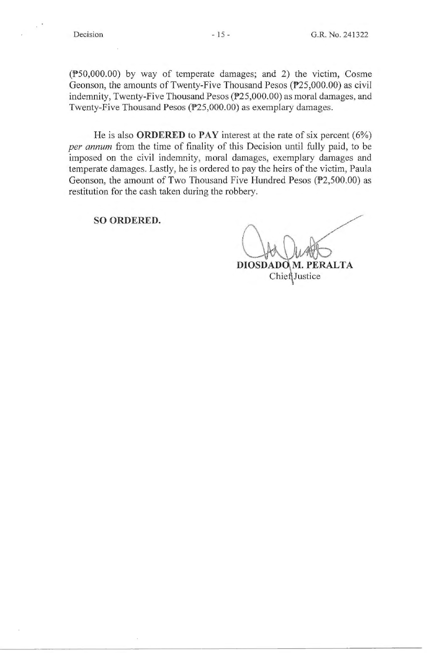$(\overline{P50,000.00})$  by way of temperate damages; and 2) the victim, Cosme Geonson, the amounts of Twenty-Five Thousand Pesos (P25,000.00) as civil indemnity, Twenty-Five Thousand Pesos (P25,000.00) as moral damages, and Twenty-Five Thousand Pesos (P25,000.00) as exemplary damages.

He is also **ORDERED to PAY** interest at the rate of six percent (6%) *per annum* from the time of finality of this Decision until fully paid, to be imposed on the civil indemnity, moral damages, exemplary damages and temperate damages. Lastly, he is ordered to pay the heirs of the victim, Paula Geonson, the amount of Two Thousand Five Hundred Pesos ( $P2,500.00$ ) as restitution for the cash taken during the robbery.

**SO ORDERED.** 

DIOSDADO M. PERALTA ChiefJustice